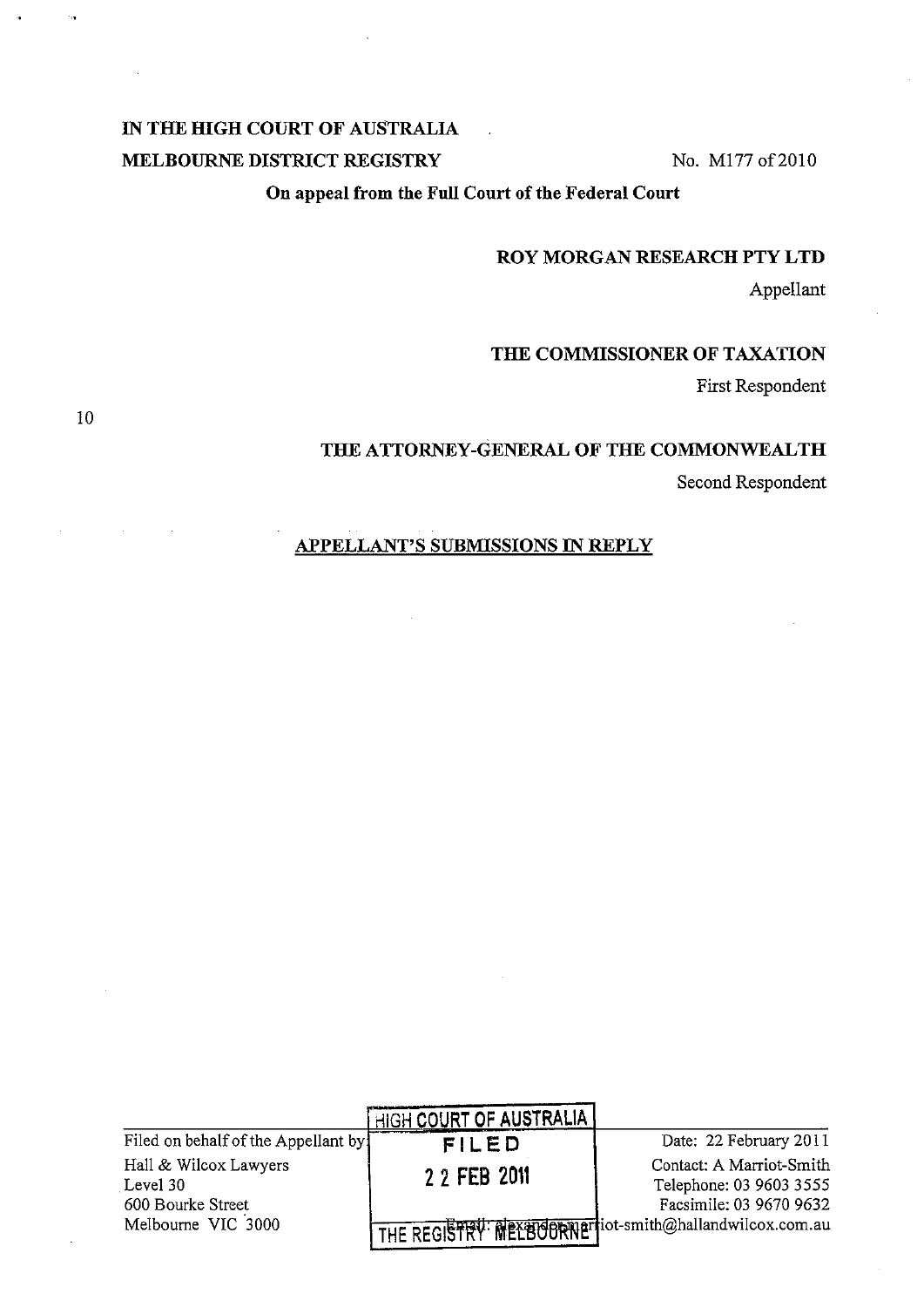# **IN THE HIGH COURT OF AUSTRALIA MELBOURNE DISTRICT REGISTRY** No. M177 of 2010

**On appeal from the Full Court of the Federal Court** 

#### **ROY MORGAN RESEARCH PTY LTD**

Appellant

### **THE COMMISSIONER OF TAXATION**

First Respondent

### 10

#### **THE ATTORNEY-GENERAL OF THE COMMONWEALTH**

Second Respondent

# **APPELLANT'S SUBMISSIONS IN REPLY**

|                                     | <b>HIGH COURT OF AUSTRALIA!</b> |                                                        |
|-------------------------------------|---------------------------------|--------------------------------------------------------|
| Filed on behalf of the Appellant by | FILED                           | Date: 22 February 2011                                 |
| Hall & Wilcox Lawyers               | 2 2 FEB 2011                    | Contact: A Marriot-Smith                               |
| Level 30                            |                                 | Telephone: 03 9603 3555                                |
| 600 Bourke Street                   |                                 | Facsimile: 03 9670 9632                                |
| Melbourne VIC 3000                  |                                 | THE REGISTRY: MELBOORNETiot-smith@hallandwilcox.com.au |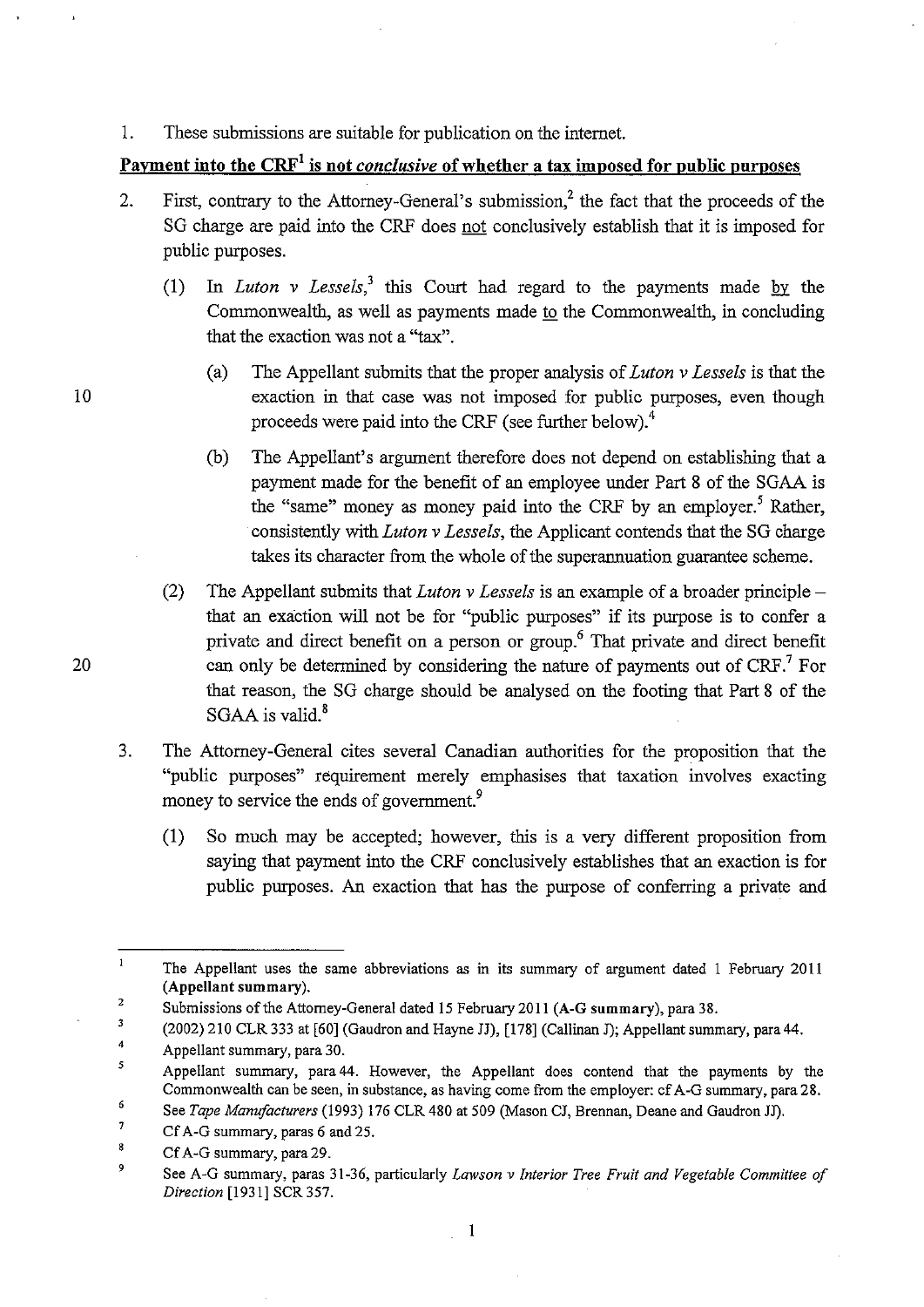1. These submissions are suitable for publication on the internet.

# Payment into the CRF1 is not *conclusive* of whether a tax imposed for **public** purposes

- 2. First, contrary to the Attorney-General's submission.<sup>2</sup> the fact that the proceeds of the SG charge are paid into the CRF does not conclusively establish that it is imposed for public purposes.
	- (1) In *Luton v Lessels*,<sup>3</sup> this Court had regard to the payments made by the Commonwealth, as well as payments made to the Commonwealth, in concluding that the exaction was not a "tax".
- (a) The Appellant submits that the proper analysis of *Luton v Lessels* is that the 10 exaction in that case was not imposed for public purposes, even though proceeds were paid into the CRF (see further below).4
	- (b) The Appellant's argument therefore does not depend on establishing that a payment made for the benefit of an employee under Part 8 of the SGAA is the "same" money as money paid into the CRF by an employer.<sup>5</sup> Rather, consistently with *Luton v Lessels,* the Applicant contends that the SG charge takes its character from the whole of the superannuation guarantee scheme.
- (2) The Appellant submits that *Luton v Lessels* is an example of a broader principle that an exaction will not be for "public purposes" if its purpose is to confer a private and direct benefit on a person or group.<sup>6</sup> That private and direct benefit 20 can only be determined by considering the nature of payments out of CRF.<sup>7</sup> For that reason, the SG charge should be analysed on the footing that Part 8 of the  $SGAA$  is valid.<sup>8</sup>
	- 3. The Attorney-General cites several Canadian authorities for the proposition that the "public purposes" requirement merely emphasises that taxation involves exacting money to service the ends of government.<sup>9</sup>
		- (1) So much may be accepted; however, this is a very different proposition from saying that payment into the CRF conclusively establishes that an exaction is for public purposes. An exaction that has the purpose of conferring a private and

 $\mathbf{1}$ The Appellant uses the same abbreviations as in its summary of argument dated 1 February 2011 (Appellant summary).

<sup>2</sup>  Submissions of the Attorney-General dated 15 February 2011 (A-G summary), para 38.

 $\overline{\mathbf{3}}$ (2002) 210 CLR 333 at [60] (Gaudron and Hayne JJ), [178] (Callinan J); Appellant summary, para 44.

<sup>4</sup>  Appellant summary, para 30.

<sup>5</sup>  Appellant summary, para 44. However, the Appellant does contend that the payments by the Commonwealth can be seen, in substance, as having come from the employer: cf A-G summary, para 28.

<sup>6</sup>  See *Tape Manufacturers* (1993) 176 CLR 480 at 509 (Mason CJ, Brennan, Deane and Gaudron JJ).

<sup>7</sup>  Cf A-G summary, paras 6 and 25.

 $\boldsymbol{8}$ Cf A-G summary, para 29.

<sup>9</sup>  See A-G summary, paras 31-36, particularly *Lawson* v *Interior Tree Fruit and Vegetable Committee of Direction* [1931] SCR 357.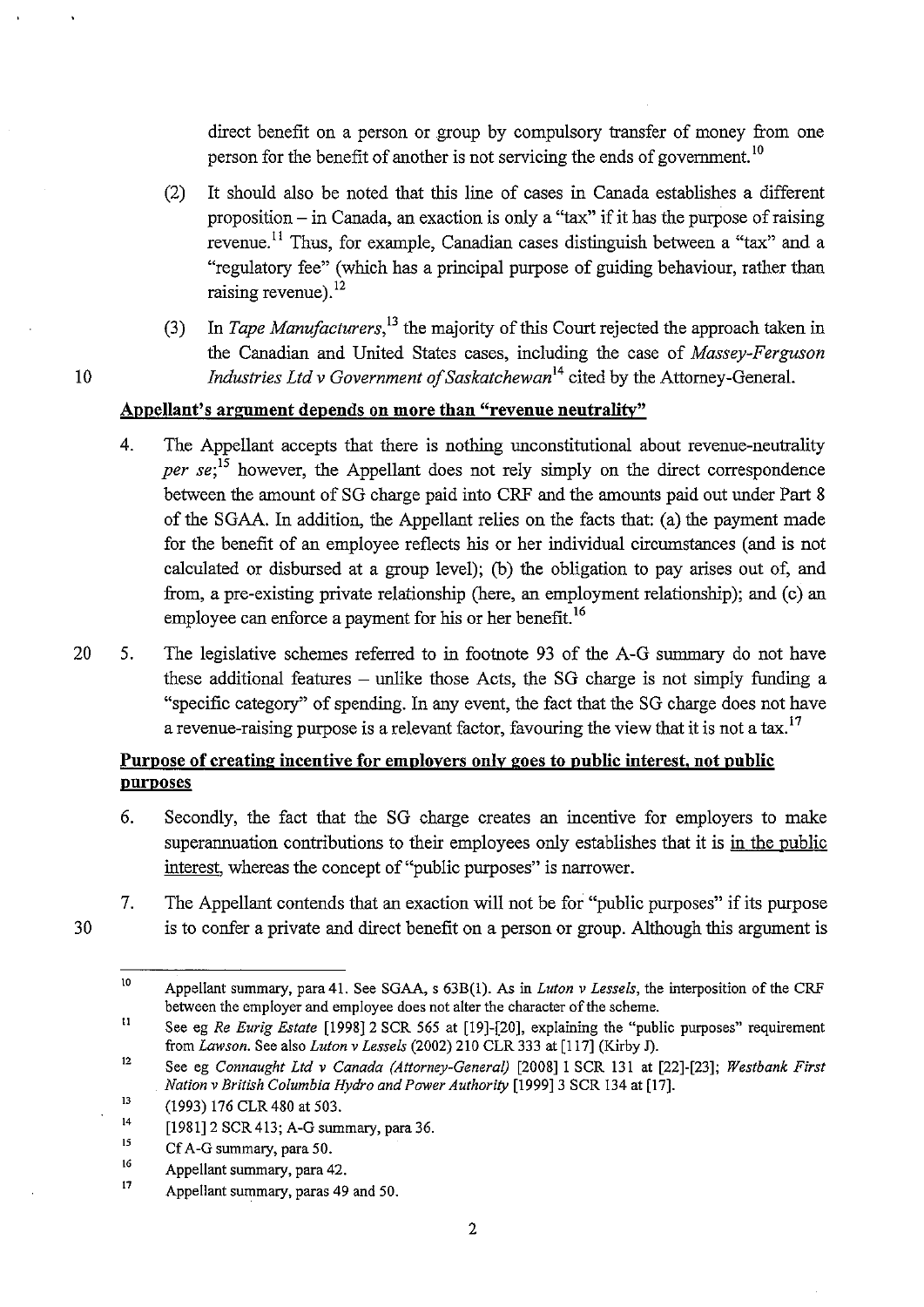direct benefit on a person or group by compulsory transfer of money from one person for the benefit of another is not servicing the ends of government. 10

- (2) It should also be noted that this line of cases in Canada establishes a different proposition  $-$  in Canada, an exaction is only a "tax" if it has the purpose of raising  $r^2$  revenue.<sup>11</sup> Thus, for example, Canadian cases distinguish between a "tax" and a "regulatory fee" (which has a principal purpose of guiding behaviour, rather than raising revenue).<sup>12</sup>
- (3) In *Tape Manu/acturers,13* the majority of this Court rejected the approach taken in the Canadian and United States cases, including the case of *Massey-Ferguson*  10 *Industries Ltd* v *Government o/Saskatchewan*l4 cited by the Attorney-General.

# **Appellant's argument depends on more than "revenue neutrality"**

- 4. The Appellant accepts that there is nothing unconstitutional about revenue-neutrality *per se;*<sup>15</sup> however, the Appellant does not rely simply on the direct correspondence between the amount of SG charge paid into CRF and the amounts paid out under Part 8 of the SGAA. In addition, the Appellant relies on the facts that: (a) the payment made for the benefit of an employee reflects his or her individual circumstances (and is not calculated or disbursed at a group level); (b) the obligation to pay arises out of, and from, a pre-existing private relationship (here, an employment relationship); and (c) an employee can enforce a payment for his or her benefit.<sup>16</sup>
- 20 5. The legislative schemes referred to in footnote 93 of the A-G summary do not have these additional features  $-$  unlike those Acts, the SG charge is not simply funding a "specific category" of spending. In any event, the fact that the SG charge does not have a revenue-raising purpose is a relevant factor, favouring the view that it is not a tax.<sup>17</sup>

# **Purpose of creating incentive for employers only goes to public interest, not public purposes**

- 6. Secondly, the fact that the SG charge creates an incentive for employers to make superannuation contributions to their employees only establishes that it is in the public interest, whereas the concept of "public purposes" is narrower.
- 7. The Appellant contends that an exaction will not be for "public purposes" if its purpose is to confer a private and direct benefit on a person or group. Although this argument is

2

30

IQ Appellant summary, para 41. See SGAA, s 63B(I). As in *Luton* v *Lessels,* the interposition of the CRF between the employer and employee does not alter the character of the scheme.

<sup>11</sup>  See eg *Re Eurig Estate* [1998]2 SCR 565 at [19]-[20], explaining the "public purposes" requirement from *Lawson.* See also *Luton* v *Lessels* (2002) 210 CLR 333 at [117] (Kirby J).

<sup>12</sup>  See eg *Connaught Ltd* v *Canada (Attorney-General)* [2008]1 SCR 131 at [22]-[23]; *Westbank First Nation* v *British Columbia Hydro and Power Authority* [1999]3 SCR 134 at [17].

<sup>13</sup>  (1993) 176 CLR 480 at 503.

<sup>14</sup>  [1981] 2 SCR 413; A-G summary, para 36.

<sup>15</sup>  Cf A-G summary, para 50.

<sup>16</sup>  Appellant summary, para 42.

<sup>17</sup>  Appellant summary, paras 49 and 50.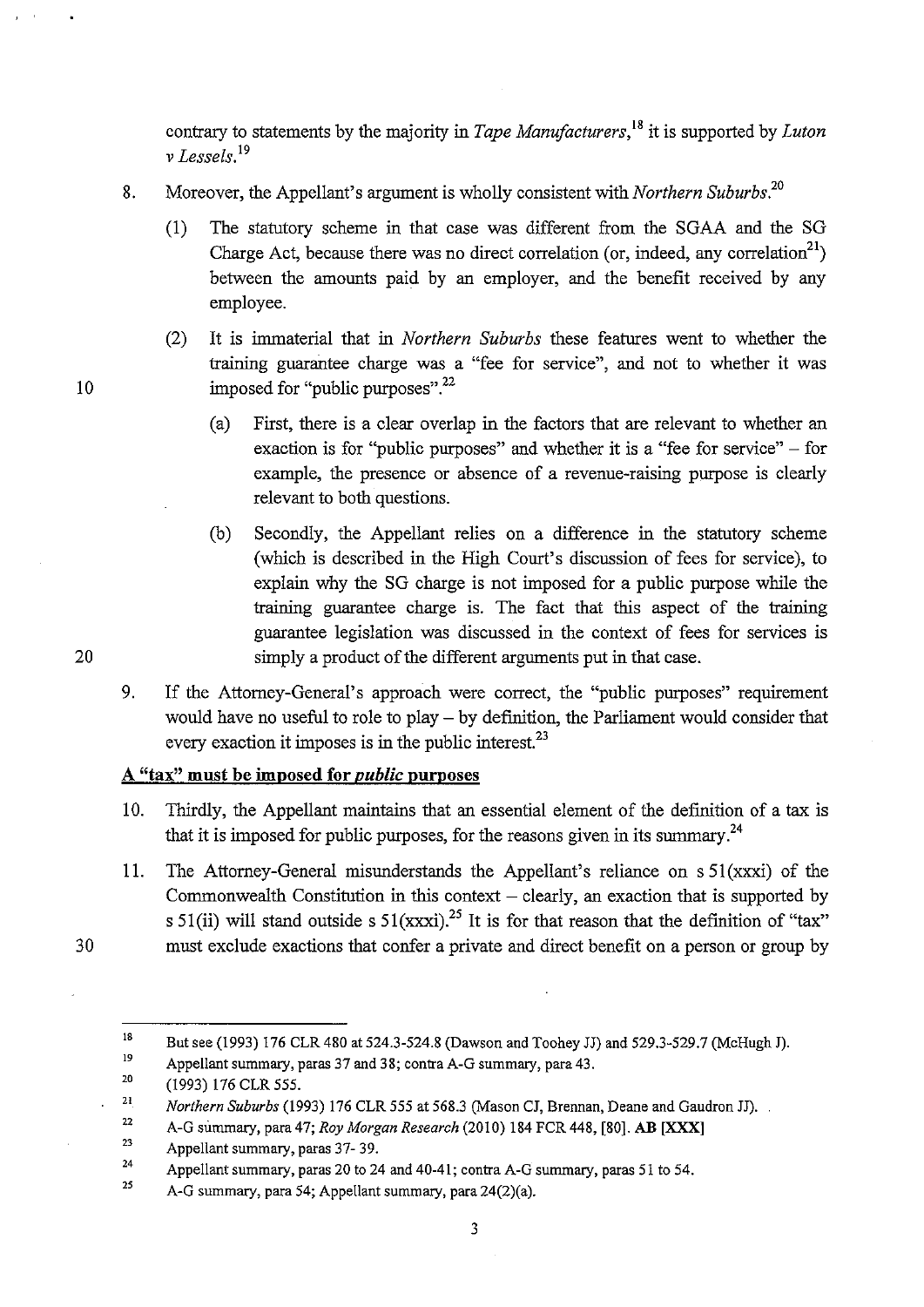contrary to statements by the majority in *Tape Manufacturers,18* it is supported by *Luton*  v *Lessels. <sup>19</sup>*

- 8. Moreover, the Appellant's argument is wholly consistent with *Northern Suburbs?O* 
	- (1) The statutory scheme in that case was different from the SGAA and the SG Charge Act, because there was no direct correlation (or, indeed, any correlation<sup>21</sup>) between the amounts paid by an employer, and the benefit received by any employee.
	- (2) It is immaterial that in *Northern Suburbs* these features went to whether the training guarantee charge was a "fee for service", and not to whether it was imposed for "public purposes".22
		- (a) First, there is a clear overlap in the factors that are relevant to whether an exaction is for "public purposes" and whether it is a "fee for service" - for example, the presence or absence of a revenue-raising purpose is clearly relevant to both questions.
		- (b) Secondly, the Appellant relies on a difference in the statutory scheme (which is described in the High Court's discussion of fees for service), to explain why the SG charge is not imposed for a public purpose while the training guarantee charge is. The fact that this aspect of the training guarantee legislation was discussed in the context of fees for services is simply a product of the different arguments put in that case.
- 9. If the Attorney-General's approach were correct, the "public purposes" requirement would have no useful to role to play - by definition, the Parliament would consider that every exaction it imposes is in the public interest. $^{23}$

#### A **"tax" must be imposed for** *public* **purposes**

- 10. Thirdly, the Appellant maintains that an essential element of the definition of a tax is that it is imposed for public purposes, for the reasons given in its summary.<sup>24</sup>
- **11.**  The Attorney-General misunderstands the Appellant's reliance on s 5l(xxxi) of the Commonwealth Constitution in this context  $-$  clearly, an exaction that is supported by s 51(ii) will stand outside s 51(xxxi).<sup>25</sup> It is for that reason that the definition of "tax" must exclude exactions that confer a private and direct benefit on a person or group by

23 Appellant summary, paras 37- 39.

20

30

<sup>18</sup>  But see (1993) 176 CLR 480 at 524.3-524.8 (Dawson and Toohey JJ) and 529.3-529.7 (McHugh J).

<sup>19</sup>  Appellant summary, paras 37 and 38; contra A-G summary, para 43.

<sup>20</sup>  (1993) 176 CLR 555.

<sup>21</sup>  *Northern Suburbs* (1993) 176 CLR 555 at 568.3 (Mason CJ, Brennan, Deane and Gaudron JJ).

<sup>22</sup>  A-G summary, para 47; *Roy Morgan Research* (2010) 184 FCR448, [80]. **AB [XXX]** 

<sup>24</sup> Appellant summary, paras 20 to 24 and 40-41; contra A-G summary, paras 51 to 54.

<sup>25</sup>  A-G summary, para 54; Appellant summary, para 24(2)(a).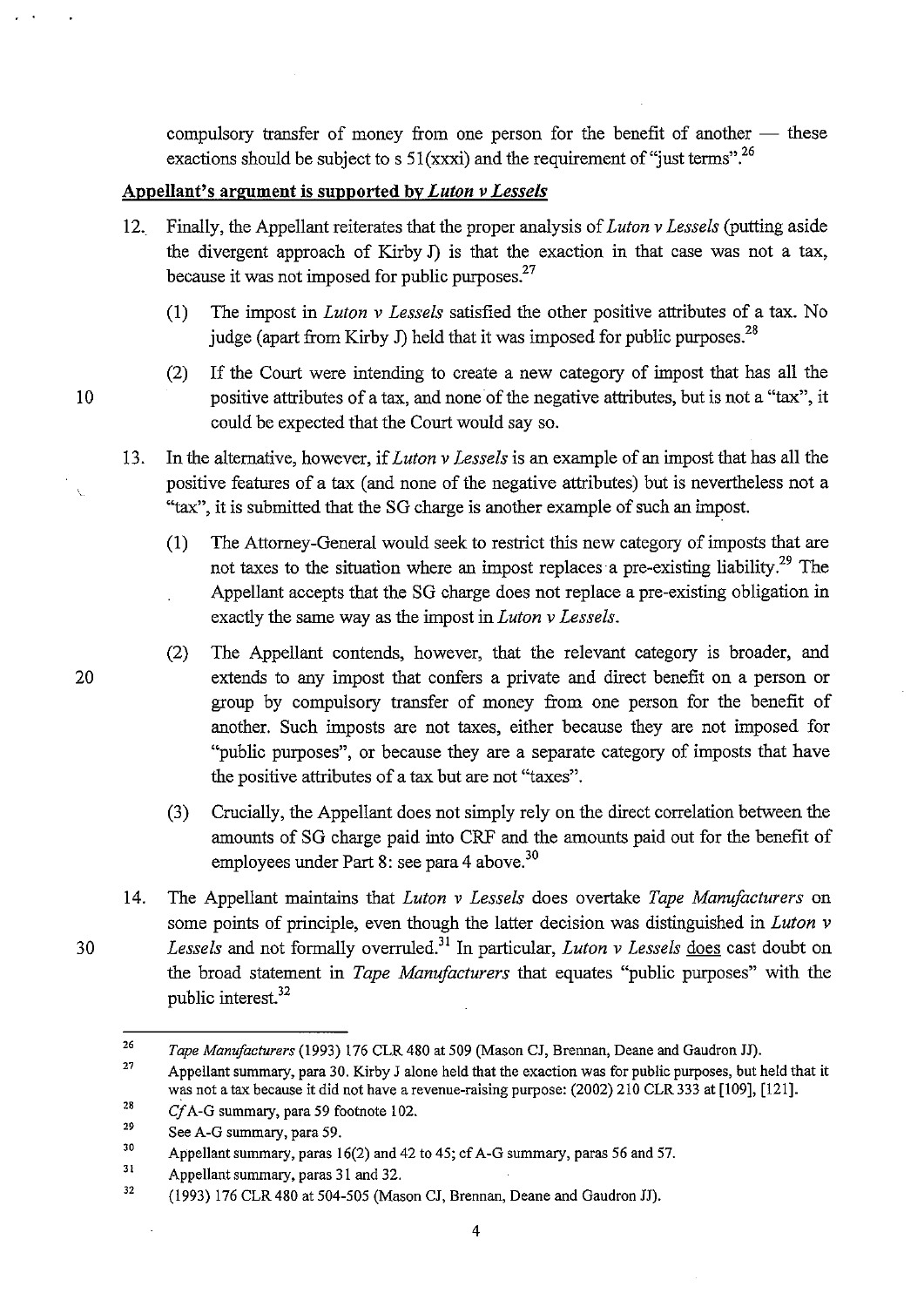compulsory transfer of money from one person for the benefit of another  $-$  these exactions should be subject to s  $51(xxxi)$  and the requirement of "just terms".<sup>26</sup>

#### **Appellant's argument is supported by** *Luton v Lessels*

- 12. Finally, the Appellant reiterates that the proper analysis of *Luton v Lessels* (putting aside the divergent approach of Kirby 1) is that the exaction in that case was not a tax, because it was not imposed for public purposes.<sup>27</sup>
	- (1) The impost in *Luton* v *Lessels* satisfied the other positive attributes of a tax. No judge (apart from Kirby J) held that it was imposed for public purposes.<sup>28</sup>
- (2) If the Court were intending to create a new category of impost that has all the 10 positive attributes of a tax, and none of the negative attributes, but is not a "tax", it could be expected that the Court would say so.
	- 13. In the alternative, however, if *Lutan* v *Lessels* is an example of an impost that has all the positive features of a tax (and none of the negative attributes) but is nevertheless not a "tax", it is submitted that the SG charge is another example of such an impost.
		- (1) The Attorney-General would seek to restrict this new category of imposts that are not taxes to the situation where an impost replaces a pre-existing liability.29 The Appellant accepts that the SG charge does not replace a pre-existing obligation in exactly the same way as the impost in *Lutan* v *Lessels.*
- (2) The Appellant contends, however, that the relevant category is broader, and 20 extends to any impost that confers a private and direct benefit on a person or group by compulsory transfer of money from one person for the benefit of another. Such imposts are not taxes, either because they are not imposed for "public purposes", or because they are a separate category of imposts that have the positive attributes of a tax but are not "taxes".
	- (3) Crucially, the Appellant does not simply rely on the direct correlation between the amounts of SG charge paid into CRF and the amounts paid out for the benefit of employees under Part 8: see para 4 above.<sup>30</sup>
- 14. The Appellant maintains that *Luton* v *Lessels* does overtake *Tape Manufacturers* on some points of principle, even though the latter decision was distinguished in *Lutan* v *30 Lessels* and not formally overruled.3l In particular, *Lutan* v *Lessels* does cast doubt on the broad statement in *Tape Manufacturers* that equates "public purposes" with the public interest. 32

 $\mathbf{t}_i$ 

· .

4

<sup>26</sup>  *Tape Manufacturers* (1993) 176 CLR 480 at 509 (Mason CJ, Brennan, Deane and Gaudron JJ).

<sup>27</sup>  Appellant summary, para 30. Kirby J alone held that the exaction was for public purposes, but held that it was not a tax because it did not have a revenue-raising purpose: (2002) 210 CLR 333 at [109], [121].

<sup>28</sup>  *Cf* A-G summary, para 59 footnote 102.

<sup>29</sup>  See A-G summary, para 59.

<sup>30</sup>  Appellant summary, paras 16(2) and 42 to 45; cf A-G summary, paras 56 and 57.

<sup>31</sup>  Appellant summary, paras 31 and 32.

<sup>32</sup>  (1993) 176 CLR480 at 504-505 (Mason CJ, Brennan, Deane and Gaudron JJ).